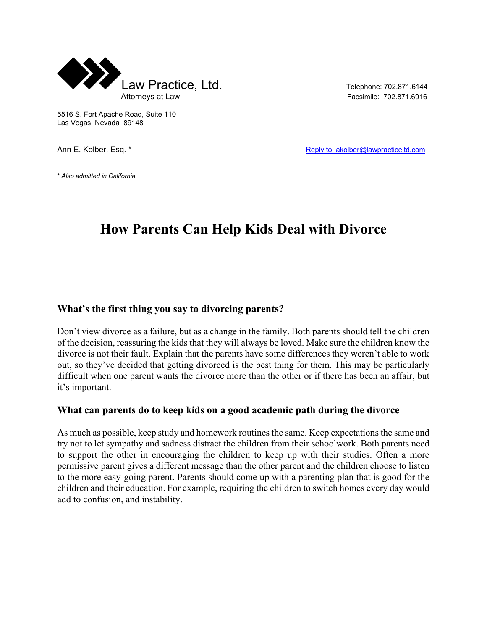

5516 S. Fort Apache Road, Suite 110 Las Vegas, Nevada 89148

Ann E. Kolber, Esq. \* The Collection of the Collection of the Reply to: akolber@lawpracticeltd.com

\* *Also admitted in California*

# **How Parents Can Help Kids Deal with Divorce**

 $\mathcal{L}_\mathcal{L} = \mathcal{L}_\mathcal{L} = \mathcal{L}_\mathcal{L} = \mathcal{L}_\mathcal{L} = \mathcal{L}_\mathcal{L} = \mathcal{L}_\mathcal{L} = \mathcal{L}_\mathcal{L} = \mathcal{L}_\mathcal{L} = \mathcal{L}_\mathcal{L} = \mathcal{L}_\mathcal{L} = \mathcal{L}_\mathcal{L} = \mathcal{L}_\mathcal{L} = \mathcal{L}_\mathcal{L} = \mathcal{L}_\mathcal{L} = \mathcal{L}_\mathcal{L} = \mathcal{L}_\mathcal{L} = \mathcal{L}_\mathcal{L}$ 

#### **What's the first thing you say to divorcing parents?**

Don't view divorce as a failure, but as a change in the family. Both parents should tell the children of the decision, reassuring the kids that they will always be loved. Make sure the children know the divorce is not their fault. Explain that the parents have some differences they weren't able to work out, so they've decided that getting divorced is the best thing for them. This may be particularly difficult when one parent wants the divorce more than the other or if there has been an affair, but it's important.

#### **What can parents do to keep kids on a good academic path during the divorce**

As much as possible, keep study and homework routines the same. Keep expectations the same and try not to let sympathy and sadness distract the children from their schoolwork. Both parents need to support the other in encouraging the children to keep up with their studies. Often a more permissive parent gives a different message than the other parent and the children choose to listen to the more easy-going parent. Parents should come up with a parenting plan that is good for the children and their education. For example, requiring the children to switch homes every day would add to confusion, and instability.